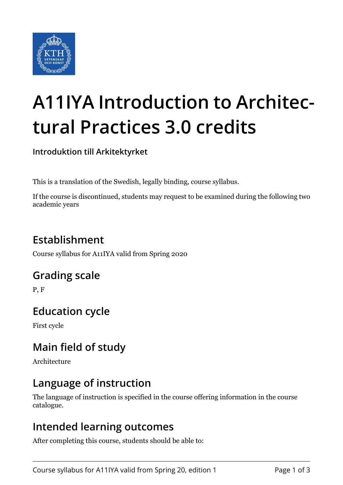

# **A11IYA Introduction to Architectural Practices 3.0 credits**

**Introduktion till Arkitektyrket**

This is a translation of the Swedish, legally binding, course syllabus.

If the course is discontinued, students may request to be examined during the following two academic years

## **Establishment**

Course syllabus for A11IYA valid from Spring 2020

#### **Grading scale**

P, F

### **Education cycle**

First cycle

### **Main field of study**

Architecture

### **Language of instruction**

The language of instruction is specified in the course offering information in the course catalogue.

#### **Intended learning outcomes**

After completing this course, students should be able to: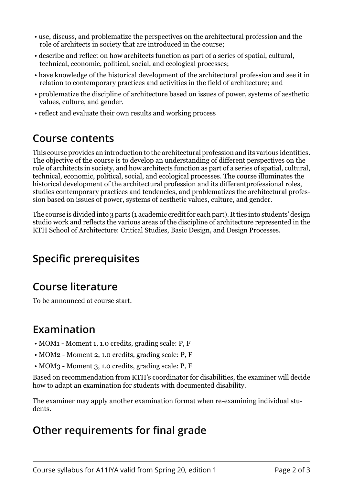- use, discuss, and problematize the perspectives on the architectural profession and the role of architects in society that are introduced in the course;
- describe and reflect on how architects function as part of a series of spatial, cultural, technical, economic, political, social, and ecological processes;
- have knowledge of the historical development of the architectural profession and see it in relation to contemporary practices and activities in the field of architecture; and
- problematize the discipline of architecture based on issues of power, systems of aesthetic values, culture, and gender.
- reflect and evaluate their own results and working process

#### **Course contents**

This course provides an introduction to the architectural profession and its various identities. The objective of the course is to develop an understanding of different perspectives on the role of architects in society, and how architects function as part of a series of spatial, cultural, technical, economic, political, social, and ecological processes. The course illuminates the historical development of the architectural profession and its differentprofessional roles, studies contemporary practices and tendencies, and problematizes the architectural profession based on issues of power, systems of aesthetic values, culture, and gender.

The course is divided into 3 parts (1 academic credit for each part). It ties into students' design studio work and reflects the various areas of the discipline of architecture represented in the KTH School of Architecture: Critical Studies, Basic Design, and Design Processes.

## **Specific prerequisites**

## **Course literature**

To be announced at course start.

### **Examination**

- MOM1 Moment 1, 1.0 credits, grading scale: P, F
- MOM2 Moment 2, 1.0 credits, grading scale: P, F
- MOM3 Moment 3, 1.0 credits, grading scale: P, F

Based on recommendation from KTH's coordinator for disabilities, the examiner will decide how to adapt an examination for students with documented disability.

The examiner may apply another examination format when re-examining individual students.

### **Other requirements for final grade**